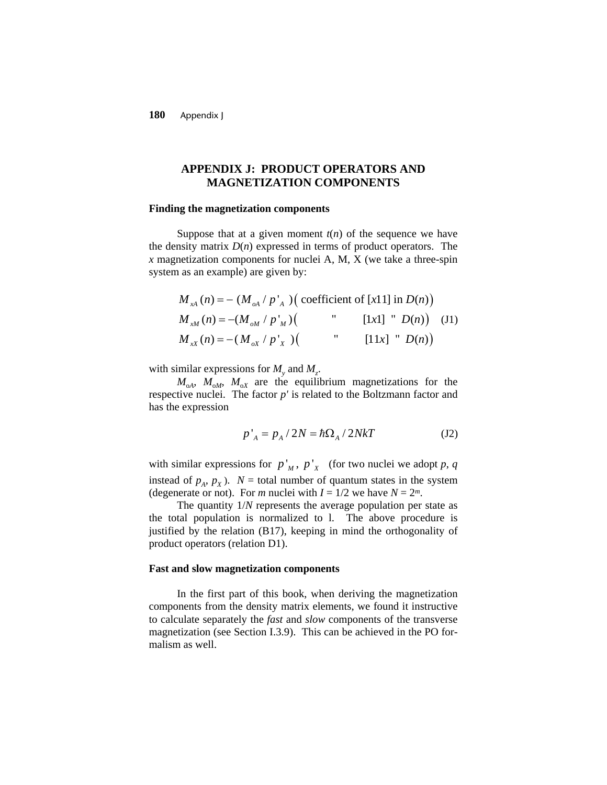**180** Appendix J

# **APPENDIX J: PRODUCT OPERATORS AND MAGNETIZATION COMPONENTS**

#### **Finding the magnetization components**

Suppose that at a given moment  $t(n)$  of the sequence we have the density matrix  $D(n)$  expressed in terms of product operators. The *x* magnetization components for nuclei A, M, X (we take a three-spin system as an example) are given by:

$$
M_{xA}(n) = -(M_{oA} / p_A') \left( \text{ coefficient of } [x11] \text{ in } D(n) \right)
$$
  
\n
$$
M_{xM}(n) = -(M_{oM} / p_M') \left( \text{Var} \left[ [x1] \cap D(n) \right] \right)
$$
  
\n
$$
M_{xX}(n) = -(M_{oX} / p_X') \left( \text{Var} \left[ [11x] \cap D(n) \right] \right)
$$

with similar expressions for  $M_{y}$  and  $M_{z}$ .

 $M_{\text{oA}}$ ,  $M_{\text{oM}}$ ,  $M_{\text{oX}}$  are the equilibrium magnetizations for the respective nuclei. The factor *p'* is related to the Boltzmann factor and has the expression

$$
p'_{A} = p_{A}/2N = \hbar\Omega_{A}/2NkT
$$
 (J2)

with similar expressions for  $p'_M$ ,  $p'_X$  (for two nuclei we adopt p, q instead of  $p_A$ ,  $p_X$ ).  $N =$  total number of quantum states in the system (degenerate or not). For *m* nuclei with  $I = 1/2$  we have  $N = 2^m$ .

The quantity 1/*N* represents the average population per state as the total population is normalized to l. The above procedure is justified by the relation (B17), keeping in mind the orthogonality of product operators (relation D1).

#### **Fast and slow magnetization components**

In the first part of this book, when deriving the magnetization components from the density matrix elements, we found it instructive to calculate separately the *fast* and *slow* components of the transverse magnetization (see Section I.3.9). This can be achieved in the PO formalism as well.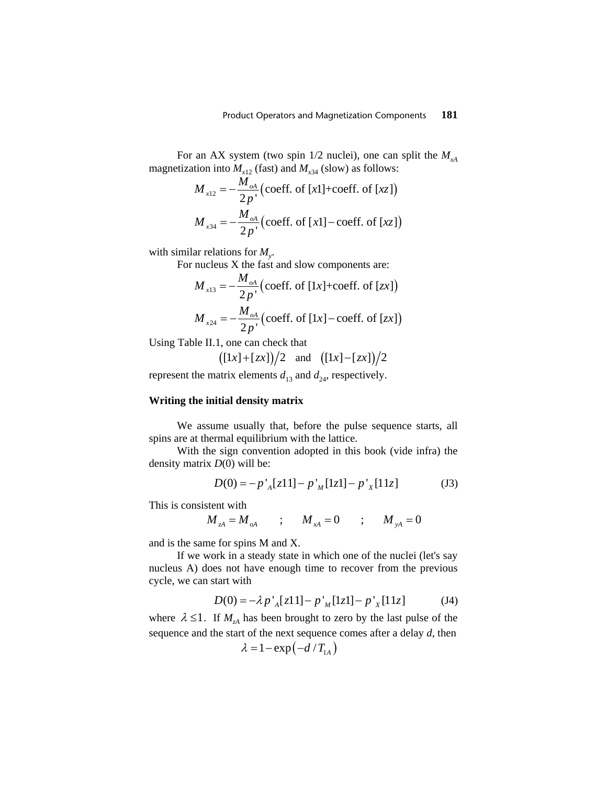For an AX system (two spin  $1/2$  nuclei), one can split the  $M_{A}$ magnetization into  $M_{x12}$  (fast) and  $M_{x34}$  (slow) as follows:

$$
M_{x12} = -\frac{M_{oA}}{2p'} \left( \text{coeff. of } [x1] + \text{coeff. of } [xz] \right)
$$
  

$$
M_{x34} = -\frac{M_{oA}}{2p'} \left( \text{coeff. of } [x1] - \text{coeff. of } [xz] \right)
$$

with similar relations for *My*.

For nucleus X the fast and slow components are:

$$
M_{x13} = -\frac{M_{oA}}{2p'} \left( \text{coeff. of } [1x] + \text{coeff. of } [zx] \right)
$$
  

$$
M_{x24} = -\frac{M_{oA}}{2p'} \left( \text{coeff. of } [1x] - \text{coeff. of } [zx] \right)
$$

Using Table II.1, one can check that

$$
((1x)+(zx))/2
$$
 and  $((1x)-(zx))/2$ 

represent the matrix elements  $d_{13}$  and  $d_{24}$ , respectively.

### **Writing the initial density matrix**

We assume usually that, before the pulse sequence starts, all spins are at thermal equilibrium with the lattice.

With the sign convention adopted in this book (vide infra) the density matrix *D*(0) will be:

$$
D(0) = -p'_{A}[z11] - p'_{M}[1z1] - p'_{X}[11z]
$$
 (J3)

This is consistent with

$$
M_{A} = M_{A}
$$
 ;  $M_{A} = 0$  ;  $M_{A} = 0$ 

and is the same for spins M and X.

If we work in a steady state in which one of the nuclei (let's say nucleus A) does not have enough time to recover from the previous cycle, we can start with

$$
D(0) = -\lambda p'_{A}[z11] - p'_{M}[1z1] - p'_{X}[11z] \tag{J4}
$$

where  $\lambda \leq 1$ . If  $M_{\lambda A}$  has been brought to zero by the last pulse of the sequence and the start of the next sequence comes after a delay *d*, then

$$
\lambda = 1 - \exp(-d/T_{1A})
$$